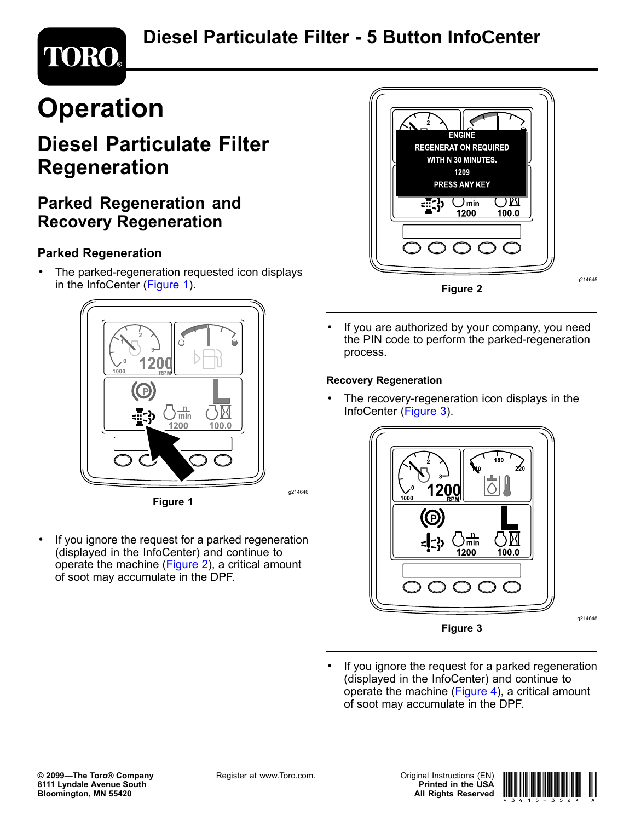# **Diesel Particulate Filter - 5 Button InfoCenter**

# **TORO®**

# **Operation**

# **Diesel Particulate Filter Regeneration**

## **Parked Regeneration and Recovery Regeneration**

### **Parked Regeneration**

• The parked-regeneration requested icon displays in the InfoCenter (Figure 1).



**Figure 1**

• If you ignore the request for <sup>a</sup> parked regeneration (displayed in the InfoCenter) and continue to operate the machine (Figure 2), <sup>a</sup> critical amount of soot may accumulate in the DPF.



• If you are authorized by your company, you need the PIN code to perform the parked-regeneration process.

#### **Recovery Regeneration**

• The recovery-regeneration icon displays in the InfoCenter (Figure 3).



• If you ignore the request for <sup>a</sup> parked regeneration (displayed in the InfoCenter) and continue to operate the machine ([Figure](#page-1-0) 4), <sup>a</sup> critical amount of soot may accumulate in the DPF.

g214646



g214648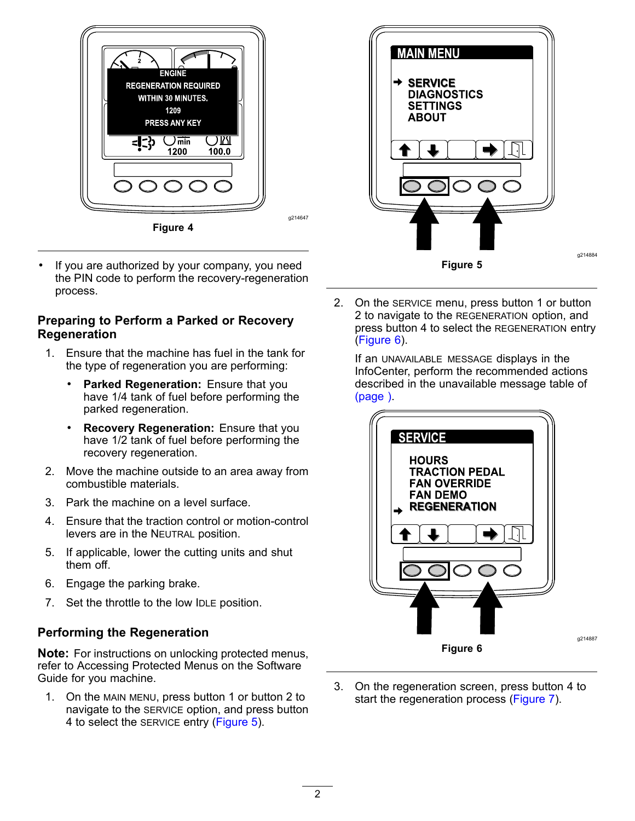<span id="page-1-0"></span>

• If you are authorized by your company, you need the PIN code to perform the recovery-regeneration process.

#### **Preparing to Perform <sup>a</sup> Parked or Recovery Regeneration**

- 1. Ensure that the machine has fuel in the tank for the type of regeneration you are performing:
	- • **Parked Regeneration:** Ensure that you have 1/4 tank of fuel before performing the parked regeneration.
	- • **Recovery Regeneration:** Ensure that you have 1/2 tank of fuel before performing the recovery regeneration.
- 2. Move the machine outside to an area away from combustible materials.
- 3. Park the machine on a level surface.
- 4. Ensure that the traction control or motion-control levers are in the NEUTRAL position.
- 5. If applicable, lower the cutting units and shut them off.
- 6. Engage the parking brake.
- 7. Set the throttle to the low IDLE position.

#### **Performing the Regeneration**

**Note:** For instructions on unlocking protected menus, refer to Accessing Protected Menus on the Software Guide for you machine.

1. On the MAIN MENU, press button 1 or button 2 to navigate to the SERVICE option, and press button 4 to select the SERVICE entry (Figure 5).



2. On the SERVICE menu, press button 1 or button 2 to navigate to the REGENERATION option, and press button 4 to select the REGENERATION entry (Figure 6).

If an UNAVAILABLE MESSAGE displays in the InfoCenter, perform the recommended actions described in the unavailable message table of (page ).



3. On the regeneration screen, press button 4 to start the regeneration process ([Figure](#page-2-0) 7).